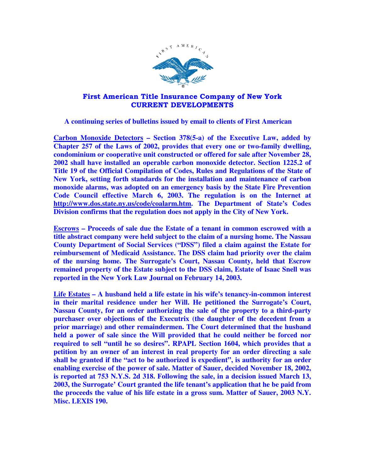

## First American Title Insurance Company of New York CURRENT DEVELOPMENTS

 **A continuing series of bulletins issued by email to clients of First American** 

**Carbon Monoxide Detectors – Section 378(5-a) of the Executive Law, added by Chapter 257 of the Laws of 2002, provides that every one or two-family dwelling, condominium or cooperative unit constructed or offered for sale after November 28, 2002 shall have installed an operable carbon monoxide detector. Section 1225.2 of Title 19 of the Official Compilation of Codes, Rules and Regulations of the State of New York, setting forth standards for the installation and maintenance of carbon monoxide alarms, was adopted on an emergency basis by the State Fire Prevention Code Council effective March 6, 2003. The regulation is on the Internet at http://www.dos.state.ny.us/code/coalarm.htm. The Department of State's Codes Division confirms that the regulation does not apply in the City of New York.** 

**Escrows – Proceeds of sale due the Estate of a tenant in common escrowed with a title abstract company were held subject to the claim of a nursing home. The Nassau County Department of Social Services ("DSS") filed a claim against the Estate for reimbursement of Medicaid Assistance. The DSS claim had priority over the claim of the nursing home. The Surrogate's Court, Nassau County, held that Escrow remained property of the Estate subject to the DSS claim, Estate of Isaac Snell was reported in the New York Law Journal on February 14, 2003.** 

**Life Estates – A husband held a life estate in his wife's tenancy-in-common interest in their marital residence under her Will. He petitioned the Surrogate's Court, Nassau County, for an order authorizing the sale of the property to a third-party purchaser over objections of the Executrix (the daughter of the decedent from a prior marriage) and other remaindermen. The Court determined that the husband held a power of sale since the Will provided that he could neither be forced nor required to sell "until he so desires". RPAPL Section 1604, which provides that a petition by an owner of an interest in real property for an order directing a sale shall be granted if the "act to be authorized is expedient", is authority for an order enabling exercise of the power of sale. Matter of Sauer, decided November 18, 2002, is reported at 753 N.Y.S. 2d 318. Following the sale, in a decision issued March 13, 2003, the Surrogate' Court granted the life tenant's application that he be paid from the proceeds the value of his life estate in a gross sum. Matter of Sauer, 2003 N.Y. Misc. LEXIS 190.**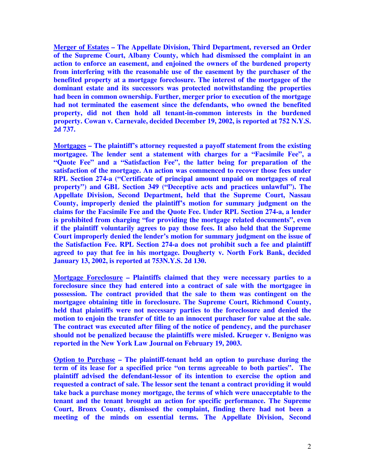**Merger of Estates – The Appellate Division, Third Department, reversed an Order of the Supreme Court, Albany County, which had dismissed the complaint in an action to enforce an easement, and enjoined the owners of the burdened property from interfering with the reasonable use of the easement by the purchaser of the benefited property at a mortgage foreclosure. The interest of the mortgagee of the dominant estate and its successors was protected notwithstanding the properties had been in common ownership. Further, merger prior to execution of the mortgage had not terminated the easement since the defendants, who owned the benefited property, did not then hold all tenant-in-common interests in the burdened property. Cowan v. Carnevale, decided December 19, 2002, is reported at 752 N.Y.S. 2d 737.** 

**Mortgages – The plaintiff's attorney requested a payoff statement from the existing mortgagee. The lender sent a statement with charges for a "Facsimile Fee", a "Quote Fee" and a "Satisfaction Fee", the latter being for preparation of the satisfaction of the mortgage. An action was commenced to recover those fees under RPL Section 274-a ("Certificate of principal amount unpaid on mortgages of real property") and GBL Section 349 ("Deceptive acts and practices unlawful"). The Appellate Division, Second Department, held that the Supreme Court, Nassau County, improperly denied the plaintiff's motion for summary judgment on the claims for the Facsimile Fee and the Quote Fee. Under RPL Section 274-a, a lender is prohibited from charging "for providing the mortgage related documents", even if the plaintiff voluntarily agrees to pay those fees. It also held that the Supreme Court improperly denied the lender's motion for summary judgment on the issue of the Satisfaction Fee. RPL Section 274-a does not prohibit such a fee and plaintiff agreed to pay that fee in his mortgage. Dougherty v. North Fork Bank, decided January 13, 2002, is reported at 753N.Y.S. 2d 130.** 

**Mortgage Foreclosure – Plaintiffs claimed that they were necessary parties to a foreclosure since they had entered into a contract of sale with the mortgagee in possession. The contract provided that the sale to them was contingent on the mortgagee obtaining title in foreclosure. The Supreme Court, Richmond County, held that plaintiffs were not necessary parties to the foreclosure and denied the motion to enjoin the transfer of title to an innocent purchaser for value at the sale. The contract was executed after filing of the notice of pendency, and the purchaser should not be penalized because the plaintiffs were misled. Krueger v. Benigno was reported in the New York Law Journal on February 19, 2003.** 

**Option to Purchase – The plaintiff-tenant held an option to purchase during the term of its lease for a specified price "on terms agreeable to both parties". The plaintiff advised the defendant-lessor of its intention to exercise the option and requested a contract of sale. The lessor sent the tenant a contract providing it would take back a purchase money mortgage, the terms of which were unacceptable to the tenant and the tenant brought an action for specific performance. The Supreme Court, Bronx County, dismissed the complaint, finding there had not been a meeting of the minds on essential terms. The Appellate Division, Second**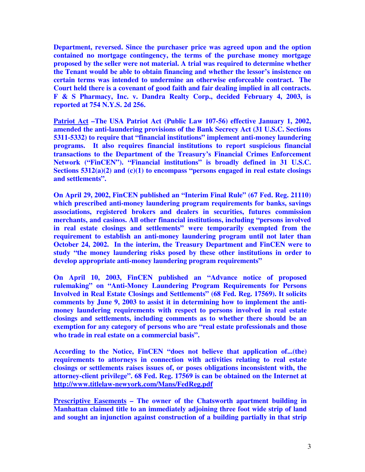**Department, reversed. Since the purchaser price was agreed upon and the option contained no mortgage contingency, the terms of the purchase money mortgage proposed by the seller were not material. A trial was required to determine whether the Tenant would be able to obtain financing and whether the lessor's insistence on certain terms was intended to undermine an otherwise enforceable contract. The Court held there is a covenant of good faith and fair dealing implied in all contracts. F & S Pharmacy, Inc. v. Dandra Realty Corp., decided February 4, 2003, is reported at 754 N.Y.S. 2d 256.** 

**Patriot Act –The USA Patriot Act (Public Law 107-56) effective January 1, 2002, amended the anti-laundering provisions of the Bank Secrecy Act (31 U.S.C. Sections 5311-5332) to require that "financial institutions" implement anti-money laundering programs. It also requires financial institutions to report suspicious financial transactions to the Department of the Treasury's Financial Crimes Enforcement Network ("FinCEN"). "Financial institutions" is broadly defined in 31 U.S.C. Sections 5312(a)(2) and (c)(1) to encompass "persons engaged in real estate closings and settlements".** 

**On April 29, 2002, FinCEN published an "Interim Final Rule" (67 Fed. Reg. 21110) which prescribed anti-money laundering program requirements for banks, savings associations, registered brokers and dealers in securities, futures commission merchants, and casinos. All other financial institutions, including "persons involved in real estate closings and settlements" were temporarily exempted from the requirement to establish an anti-money laundering program until not later than October 24, 2002. In the interim, the Treasury Department and FinCEN were to study "the money laundering risks posed by these other institutions in order to develop appropriate anti-money laundering program requirements"** 

**On April 10, 2003, FinCEN published an "Advance notice of proposed rulemaking" on "Anti-Money Laundering Program Requirements for Persons Involved in Real Estate Closings and Settlements" (68 Fed. Reg. 17569). It solicits comments by June 9, 2003 to assist it in determining how to implement the antimoney laundering requirements with respect to persons involved in real estate closings and settlements, including comments as to whether there should be an exemption for any category of persons who are "real estate professionals and those who trade in real estate on a commercial basis".** 

**According to the Notice, FinCEN "does not believe that application of...(the) requirements to attorneys in connection with activities relating to real estate closings or settlements raises issues of, or poses obligations inconsistent with, the attorney-client privilege". 68 Fed. Reg. 17569 is can be obtained on the Internet at http://www.titlelaw-newyork.com/Mans/FedReg.pdf**

**Prescriptive Easements – The owner of the Chatsworth apartment building in Manhattan claimed title to an immediately adjoining three foot wide strip of land and sought an injunction against construction of a building partially in that strip**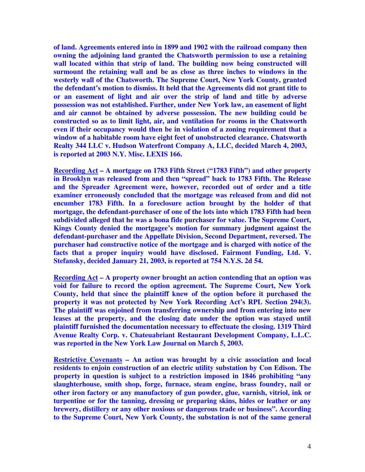**of land. Agreements entered into in 1899 and 1902 with the railroad company then owning the adjoining land granted the Chatsworth permission to use a retaining wall located within that strip of land. The building now being constructed will surmount the retaining wall and be as close as three inches to windows in the westerly wall of the Chatsworth. The Supreme Court, New York County, granted the defendant's motion to dismiss. It held that the Agreements did not grant title to or an easement of light and air over the strip of land and title by adverse possession was not established. Further, under New York law, an easement of light and air cannot be obtained by adverse possession. The new building could be constructed so as to limit light, air, and ventilation for rooms in the Chatsworth even if their occupancy would then be in violation of a zoning requirement that a window of a habitable room have eight feet of unobstructed clearance. Chatsworth Realty 344 LLC v. Hudson Waterfront Company A, LLC, decided March 4, 2003, is reported at 2003 N.Y. Misc. LEXIS 166.** 

**Recording Act – A mortgage on 1783 Fifth Street ("1783 Fifth") and other property in Brooklyn was released from and then "spread" back to 1783 Fifth. The Release and the Spreader Agreement were, however, recorded out of order and a title examiner erroneously concluded that the mortgage was released from and did not encumber 1783 Fifth. In a foreclosure action brought by the holder of that mortgage, the defendant-purchaser of one of the lots into which 1783 Fifth had been subdivided alleged that he was a bona fide purchaser for value. The Supreme Court, Kings County denied the mortgagee's motion for summary judgment against the defendant-purchaser and the Appellate Division, Second Department, reversed. The purchaser had constructive notice of the mortgage and is charged with notice of the facts that a proper inquiry would have disclosed. Fairmont Funding, Ltd. V. Stefansky, decided January 21, 2003, is reported at 754 N.Y.S. 2d 54.** 

**Recording Act – A property owner brought an action contending that an option was void for failure to record the option agreement. The Supreme Court, New York County, held that since the plaintiff knew of the option before it purchased the property it was not protected by New York Recording Act's RPL Section 294(3). The plaintiff was enjoined from transferring ownership and from entering into new leases at the property, and the closing date under the option was stayed until plaintiff furnished the documentation necessary to effectuate the closing. 1319 Third Avenue Realty Corp. v. Chateuabriant Restaurant Development Company, L.L.C. was reported in the New York Law Journal on March 5, 2003.** 

**Restrictive Covenants – An action was brought by a civic association and local residents to enjoin construction of an electric utility substation by Con Edison. The property in question is subject to a restriction imposed in 1846 prohibiting "any slaughterhouse, smith shop, forge, furnace, steam engine, brass foundry, nail or other iron factory or any manufactory of gun powder, glue, varnish, vitriol, ink or turpentine or for the tanning, dressing or preparing skins, hides or leather or any brewery, distillery or any other noxious or dangerous trade or business". According to the Supreme Court, New York County, the substation is not of the same general**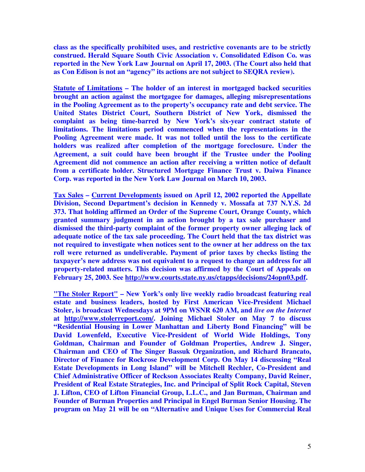**class as the specifically prohibited uses, and restrictive covenants are to be strictly construed. Herald Square South Civic Association v. Consolidated Edison Co. was reported in the New York Law Journal on April 17, 2003. (The Court also held that as Con Edison is not an "agency" its actions are not subject to SEQRA review).** 

**Statute of Limitations – The holder of an interest in mortgaged backed securities brought an action against the mortgagee for damages, alleging misrepresentations in the Pooling Agreement as to the property's occupancy rate and debt service. The United States District Court, Southern District of New York, dismissed the complaint as being time-barred by New York's six-year contract statute of limitations. The limitations period commenced when the representations in the Pooling Agreement were made. It was not tolled until the loss to the certificate holders was realized after completion of the mortgage foreclosure. Under the Agreement, a suit could have been brought if the Trustee under the Pooling Agreement did not commence an action after receiving a written notice of default from a certificate holder. Structured Mortgage Finance Trust v. Daiwa Finance Corp. was reported in the New York Law Journal on March 10, 2003.** 

**Tax Sales – Current Developments issued on April 12, 2002 reported the Appellate Division, Second Department's decision in Kennedy v. Mossafa at 737 N.Y.S. 2d 373. That holding affirmed an Order of the Supreme Court, Orange County, which granted summary judgment in an action brought by a tax sale purchaser and dismissed the third-party complaint of the former property owner alleging lack of adequate notice of the tax sale proceeding. The Court held that the tax district was not required to investigate when notices sent to the owner at her address on the tax roll were returned as undeliverable. Payment of prior taxes by checks listing the taxpayer's new address was not equivalent to a request to change an address for all property-related matters. This decision was affirmed by the Court of Appeals on February 25, 2003. See http://www.courts.state.ny.us/ctapps/decisions/24opn03.pdf.** 

**"The Stoler Report" – New York's only live weekly radio broadcast featuring real estate and business leaders, hosted by First American Vice-President Michael Stoler, is broadcast Wednesdays at 9PM on WSNR 620 AM, and** *live on the Internet* **at http://www.stolerreport.com/. Joining Michael Stoler on May 7 to discuss "Residential Housing in Lower Manhattan and Liberty Bond Financing" will be David Lowenfeld, Executive Vice-President of World Wide Holdings, Tony Goldman, Chairman and Founder of Goldman Properties, Andrew J. Singer, Chairman and CEO of The Singer Bassuk Organization, and Richard Brancato, Director of Finance for Rockrose Development Corp. On May 14 discussing "Real Estate Developments in Long Island" will be Mitchell Rechler, Co-President and Chief Administrative Officer of Reckson Associates Realty Company, David Reiner, President of Real Estate Strategies, Inc. and Principal of Split Rock Capital, Steven J. Lifton, CEO of Lifton Financial Group, L.L.C., and Jan Burman, Chairman and Founder of Burman Properties and Principal in Engel Burman Senior Housing. The program on May 21 will be on "Alternative and Unique Uses for Commercial Real**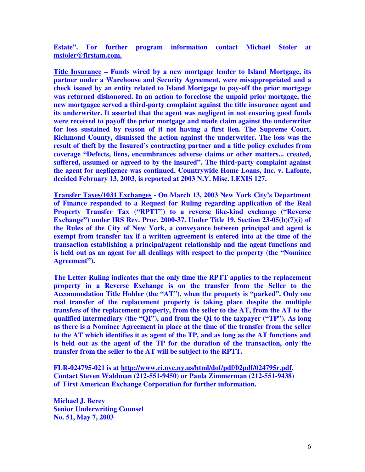**Estate". For further program information contact Michael Stoler at mstoler@firstam.com.** 

**Title Insurance – Funds wired by a new mortgage lender to Island Mortgage, its partner under a Warehouse and Security Agreement, were misappropriated and a check issued by an entity related to Island Mortgage to pay-off the prior mortgage was returned dishonored. In an action to foreclose the unpaid prior mortgage, the new mortgagee served a third-party complaint against the title insurance agent and its underwriter. It asserted that the agent was negligent in not ensuring good funds were received to payoff the prior mortgage and made claim against the underwriter for loss sustained by reason of it not having a first lien. The Supreme Court, Richmond County, dismissed the action against the underwriter. The loss was the result of theft by the Insured's contracting partner and a title policy excludes from coverage "Defects, liens, encumbrances adverse claims or other matters... created, suffered, assumed or agreed to by the insured". The third-party complaint against the agent for negligence was continued. Countrywide Home Loans, Inc. v. Lafonte, decided February 13, 2003, is reported at 2003 N.Y. Misc. LEXIS 127.** 

**Transfer Taxes/1031 Exchanges - On March 13, 2003 New York City's Department of Finance responded to a Request for Ruling regarding application of the Real Property Transfer Tax ("RPTT") to a reverse like-kind exchange ("Reverse Exchange") under IRS Rev. Proc. 2000-37. Under Title 19, Section 23-05(b)(7)(i) of the Rules of the City of New York, a conveyance between principal and agent is exempt from transfer tax if a written agreement is entered into at the time of the transaction establishing a principal/agent relationship and the agent functions and is held out as an agent for all dealings with respect to the property (the "Nominee Agreement").** 

**The Letter Ruling indicates that the only time the RPTT applies to the replacement property in a Reverse Exchange is on the transfer from the Seller to the Accommodation Title Holder (the "AT"), when the property is "parked". Only one real transfer of the replacement property is taking place despite the multiple transfers of the replacement property, from the seller to the AT, from the AT to the qualified intermediary (the "QI"), and from the QI to the taxpayer ("TP"). As long as there is a Nominee Agreement in place at the time of the transfer from the seller to the AT which identifies it as agent of the TP, and as long as the AT functions and is held out as the agent of the TP for the duration of the transaction, only the transfer from the seller to the AT will be subject to the RPTT.** 

**FLR-024795-021 is at http://www.ci.nyc.ny.us/html/dof/pdf/02pdf/024795r.pdf. Contact Steven Waldman (212-551-9450) or Paula Zimmerman (212-551-9438) of First American Exchange Corporation for further information.** 

**Michael J. Berey Senior Underwriting Counsel No. 51, May 7, 2003**